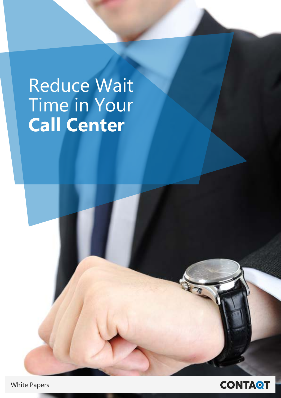# **Reduce Wait** Time in Your **Call Center**



**White Papers**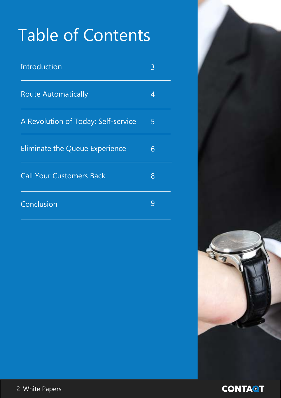# Table of Contents

| Introduction                          | 3 |
|---------------------------------------|---|
| <b>Route Automatically</b>            | 4 |
| A Revolution of Today: Self-service   | 5 |
| <b>Eliminate the Queue Experience</b> | 6 |
| <b>Call Your Customers Back</b>       | 8 |
| Conclusion                            | 9 |

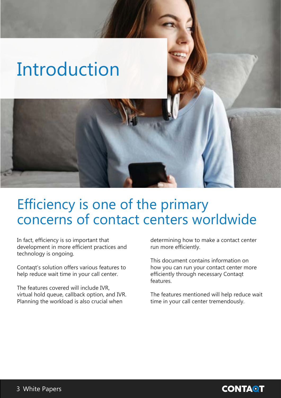# <span id="page-2-0"></span>Introduction

#### Efficiency is one of the primary concerns of contact centers worldwide

In fact, efficiency is so important that development in more efficient practices and technology is ongoing.

Contagt's solution offers various features to help reduce wait time in your call center.

The features covered will include IVR. virtual hold queue, callback option, and IVR. Planning the workload is also crucial when

determining how to make a contact center run more efficiently.

This document contains information on how you can run your contact center more efficiently through necessary Contagt .features

The features mentioned will help reduce wait time in your call center tremendously.

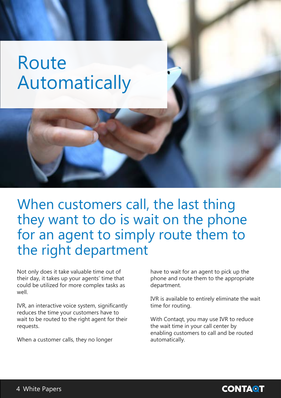## <span id="page-3-0"></span> Route Automatically

When customers call, the last thing they want to do is wait on the phone for an agent to simply route them to the right department

Not only does it take valuable time out of their day, it takes up your agents' time that could be utilized for more complex tasks as .well

IVR, an interactive voice system, significantly reduces the time your customers have to wait to be routed to the right agent for their .requests

When a customer calls, they no longer

have to wait for an agent to pick up the phone and route them to the appropriate .department

IVR is available to entirely eliminate the wait time for routing.

With Contagt, you may use IVR to reduce the wait time in your call center by enabling customers to call and be routed .automatically

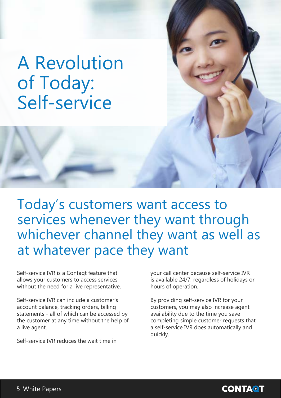### <span id="page-4-0"></span>**A Revolution** of Today: Self-service

Today's customers want access to services whenever they want through whichever channel they want as well as at whatever pace they want

Self-service IVR is a Contagt feature that allows your customers to access services without the need for a live representative.

Self-service IVR can include a customer's account balance, tracking orders, billing statements - all of which can be accessed by the customer at any time without the help of a live agent.

Self-service IVR reduces the wait time in

vour call center because self-service IVR is available 24/7, regardless of holidays or hours of operation.

By providing self-service IVR for your customers, you may also increase agent availability due to the time you save completing simple customer requests that a self-service IVR does automatically and .quickly

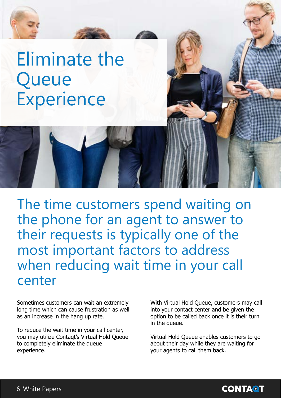<span id="page-5-0"></span>

The time customers spend waiting on the phone for an agent to answer to their requests is typically one of the most important factors to address when reducing wait time in your call center

Sometimes customers can wait an extremely long time which can cause frustration as well as an increase in the hang up rate.

To reduce the wait time in your call center, you may utilize Contaqt's Virtual Hold Queue to completely eliminate the queue experience.

With Virtual Hold Queue, customers may call into your contact center and be given the option to be called back once it is their turn in the queue.

Virtual Hold Queue enables customers to go about their day while they are waiting for your agents to call them back.

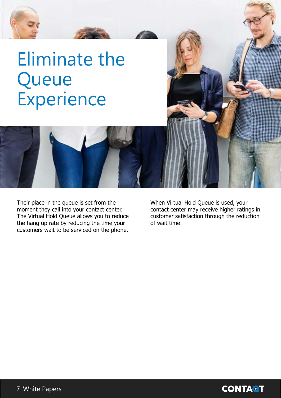# **Eliminate the**  Queue **Experience**

Their place in the queue is set from the moment they call into your contact center. The Virtual Hold Queue allows you to reduce the hang up rate by reducing the time your customers wait to be serviced on the phone.

When Virtual Hold Queue is used, your contact center may receive higher ratings in customer satisfaction through the reduction of wait time.

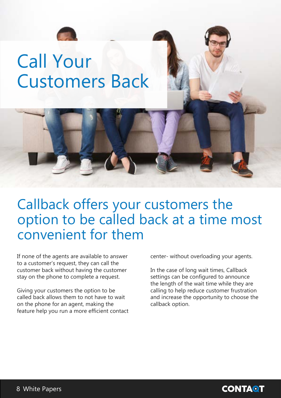

# <span id="page-7-0"></span>**Call Your Customers Back**



#### Callback offers your customers the option to be called back at a time most convenient for them

If none of the agents are available to answer to a customer's request, they can call the customer back without having the customer stay on the phone to complete a request.

Giving your customers the option to be called back allows them to not have to wait on the phone for an agent, making the feature help you run a more efficient contact center- without overloading your agents.

In the case of long wait times, Callback settings can be configured to announce the length of the wait time while they are calling to help reduce customer frustration and increase the opportunity to choose the callback option.